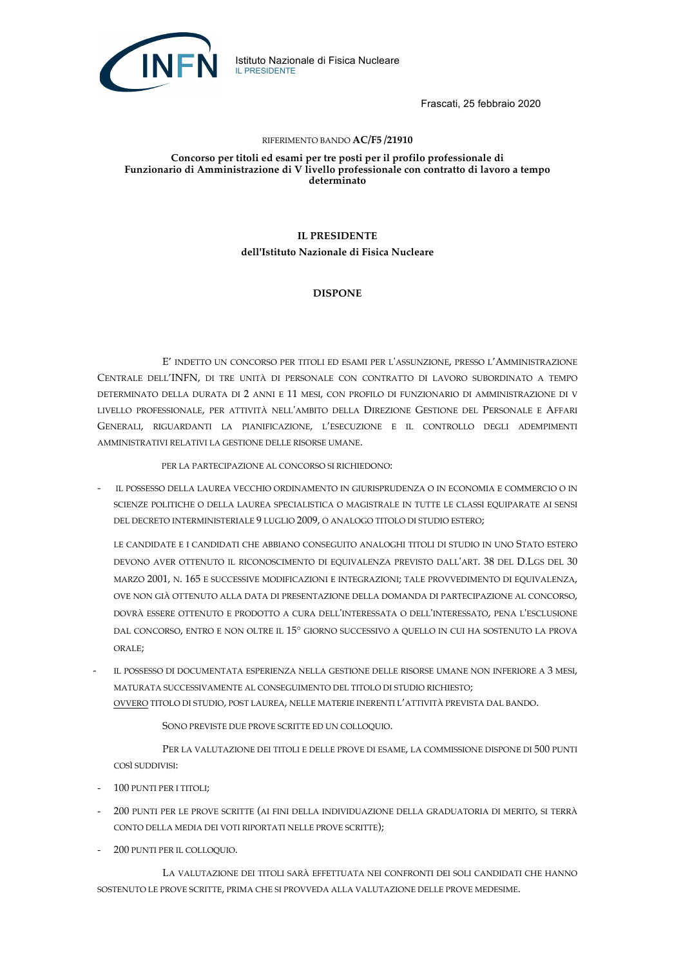

Frascati, 25 febbraio 2020

#### RIFERIMENTO BANDO **AC/F5 /21910**

**Concorso per titoli ed esami per tre posti per il profilo professionale di Funzionario di Amministrazione di V livello professionale con contratto di lavoro a tempo determinato**

### **IL PRESIDENTE**

**dell'Istituto Nazionale di Fisica Nucleare**

#### **DISPONE**

E' INDETTO UN CONCORSO PER TITOLI ED ESAMI PER L'ASSUNZIONE, PRESSO L'AMMINISTRAZIONE CENTRALE DELL'INFN, DI TRE UNITÀ DI PERSONALE CON CONTRATTO DI LAVORO SUBORDINATO A TEMPO DETERMINATO DELLA DURATA DI 2 ANNI E 11 MESI, CON PROFILO DI FUNZIONARIO DI AMMINISTRAZIONE DI V LIVELLO PROFESSIONALE, PER ATTIVITÀ NELL'AMBITO DELLA DIREZIONE GESTIONE DEL PERSONALE E AFFARI GENERALI, RIGUARDANTI LA PIANIFICAZIONE, L'ESECUZIONE E IL CONTROLLO DEGLI ADEMPIMENTI AMMINISTRATIVI RELATIVI LA GESTIONE DELLE RISORSE UMANE.

PER LA PARTECIPAZIONE AL CONCORSO SI RICHIEDONO:

- IL POSSESSO DELLA LAUREA VECCHIO ORDINAMENTO IN GIURISPRUDENZA O IN ECONOMIA E COMMERCIO O IN SCIENZE POLITICHE O DELLA LAUREA SPECIALISTICA O MAGISTRALE IN TUTTE LE CLASSI EQUIPARATE AI SENSI DEL DECRETO INTERMINISTERIALE 9 LUGLIO 2009, O ANALOGO TITOLO DI STUDIO ESTERO;

LE CANDIDATE E I CANDIDATI CHE ABBIANO CONSEGUITO ANALOGHI TITOLI DI STUDIO IN UNO STATO ESTERO DEVONO AVER OTTENUTO IL RICONOSCIMENTO DI EQUIVALENZA PREVISTO DALL'ART. 38 DEL D.LGS DEL 30 MARZO 2001, N. 165 E SUCCESSIVE MODIFICAZIONI E INTEGRAZIONI; TALE PROVVEDIMENTO DI EQUIVALENZA, OVE NON GIÀ OTTENUTO ALLA DATA DI PRESENTAZIONE DELLA DOMANDA DI PARTECIPAZIONE AL CONCORSO, DOVRÀ ESSERE OTTENUTO E PRODOTTO A CURA DELL'INTERESSATA O DELL'INTERESSATO, PENA L'ESCLUSIONE DAL CONCORSO, ENTRO E NON OLTRE IL 15° GIORNO SUCCESSIVO A QUELLO IN CUI HA SOSTENUTO LA PROVA ORALE;

IL POSSESSO DI DOCUMENTATA ESPERIENZA NELLA GESTIONE DELLE RISORSE UMANE NON INFERIORE A 3 MESI, MATURATA SUCCESSIVAMENTE AL CONSEGUIMENTO DEL TITOLO DI STUDIO RICHIESTO; OVVERO TITOLO DI STUDIO, POST LAUREA, NELLE MATERIE INERENTI L'ATTIVITÀ PREVISTA DAL BANDO.

SONO PREVISTE DUE PROVE SCRITTE ED UN COLLOQUIO.

PER LA VALUTAZIONE DEI TITOLI E DELLE PROVE DI ESAME, LA COMMISSIONE DISPONE DI 500 PUNTI COSÌ SUDDIVISI:

- 100 PUNTI PER I TITOLI;
- 200 PUNTI PER LE PROVE SCRITTE (AI FINI DELLA INDIVIDUAZIONE DELLA GRADUATORIA DI MERITO, SI TERRÀ CONTO DELLA MEDIA DEI VOTI RIPORTATI NELLE PROVE SCRITTE);
- 200 PUNTI PER IL COLLOQUIO.

LA VALUTAZIONE DEI TITOLI SARÀ EFFETTUATA NEI CONFRONTI DEI SOLI CANDIDATI CHE HANNO SOSTENUTO LE PROVE SCRITTE, PRIMA CHE SI PROVVEDA ALLA VALUTAZIONE DELLE PROVE MEDESIME.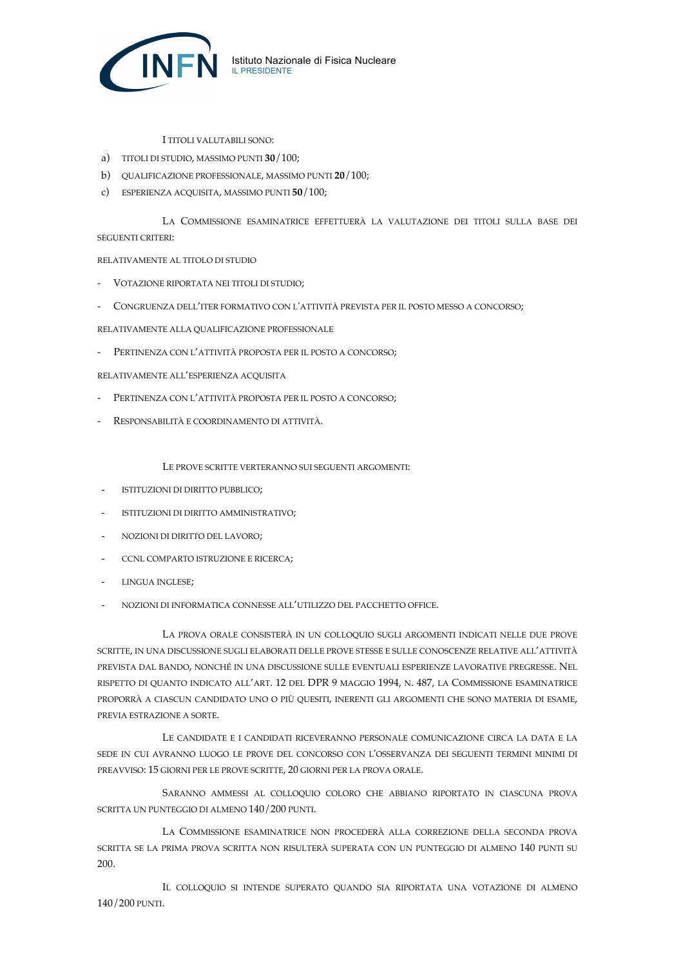

I TITOLI VALUTABILI SONO:

- a) TITOLI DI STUDIO, MASSIMO PUNTI **30**/100;
- b) QUALIFICAZIONE PROFESSIONALE, MASSIMO PUNTI **20**/100;
- c) ESPERIENZA ACQUISITA, MASSIMO PUNTI **50**/100;

LA COMMISSIONE ESAMINATRICE EFFETTUERÀ LA VALUTAZIONE DEI TITOLI SULLA BASE DEI SEGUENTI CRITERI:

RELATIVAMENTE AL TITOLO DI STUDIO

- VOTAZIONE RIPORTATA NEI TITOLI DI STUDIO;
- CONGRUENZA DELL'ITER FORMATIVO CON L'ATTIVITÀ PREVISTA PER IL POSTO MESSO A CONCORSO;

RELATIVAMENTE ALLA QUALIFICAZIONE PROFESSIONALE

- PERTINENZA CON L'ATTIVITÀ PROPOSTA PER IL POSTO A CONCORSO;

RELATIVAMENTE ALL'ESPERIENZA ACQUISITA

- PERTINENZA CON L'ATTIVITÀ PROPOSTA PER IL POSTO A CONCORSO;
- RESPONSABILITÀ E COORDINAMENTO DI ATTIVITÀ.

LE PROVE SCRITTE VERTERANNO SUI SEGUENTI ARGOMENTI:

- ISTITUZIONI DI DIRITTO PUBBLICO;
- ISTITUZIONI DI DIRITTO AMMINISTRATIVO;
- NOZIONI DI DIRITTO DEL LAVORO;
- CCNL COMPARTO ISTRUZIONE E RICERCA;
- LINGUA INGLESE:
- NOZIONI DI INFORMATICA CONNESSE ALL'UTILIZZO DEL PACCHETTO OFFICE.

LA PROVA ORALE CONSISTERÀ IN UN COLLOQUIO SUGLI ARGOMENTI INDICATI NELLE DUE PROVE SCRITTE, IN UNA DISCUSSIONE SUGLI ELABORATI DELLE PROVE STESSE E SULLE CONOSCENZE RELATIVE ALL'ATTIVITÀ PREVISTA DAL BANDO, NONCHÉ IN UNA DISCUSSIONE SULLE EVENTUALI ESPERIENZE LAVORATIVE PREGRESSE. NEL RISPETTO DI QUANTO INDICATO ALL'ART. 12 DEL DPR 9 MAGGIO 1994, N. 487, LA COMMISSIONE ESAMINATRICE PROPORRÀ A CIASCUN CANDIDATO UNO O PIÙ QUESITI, INERENTI GLI ARGOMENTI CHE SONO MATERIA DI ESAME, PREVIA ESTRAZIONE A SORTE.

LE CANDIDATE E I CANDIDATI RICEVERANNO PERSONALE COMUNICAZIONE CIRCA LA DATA E LA SEDE IN CUI AVRANNO LUOGO LE PROVE DEL CONCORSO CON L'OSSERVANZA DEI SEGUENTI TERMINI MINIMI DI PREAVVISO: 15 GIORNI PER LE PROVE SCRITTE, 20 GIORNI PER LA PROVA ORALE.

SARANNO AMMESSI AL COLLOQUIO COLORO CHE ABBIANO RIPORTATO IN CIASCUNA PROVA SCRITTA UN PUNTEGGIO DI ALMENO 140/200 PUNTI.

LA COMMISSIONE ESAMINATRICE NON PROCEDERÀ ALLA CORREZIONE DELLA SECONDA PROVA SCRITTA SE LA PRIMA PROVA SCRITTA NON RISULTERÀ SUPERATA CON UN PUNTEGGIO DI ALMENO 140 PUNTI SU 200.

IL COLLOQUIO SI INTENDE SUPERATO QUANDO SIA RIPORTATA UNA VOTAZIONE DI ALMENO 140/200 PUNTI.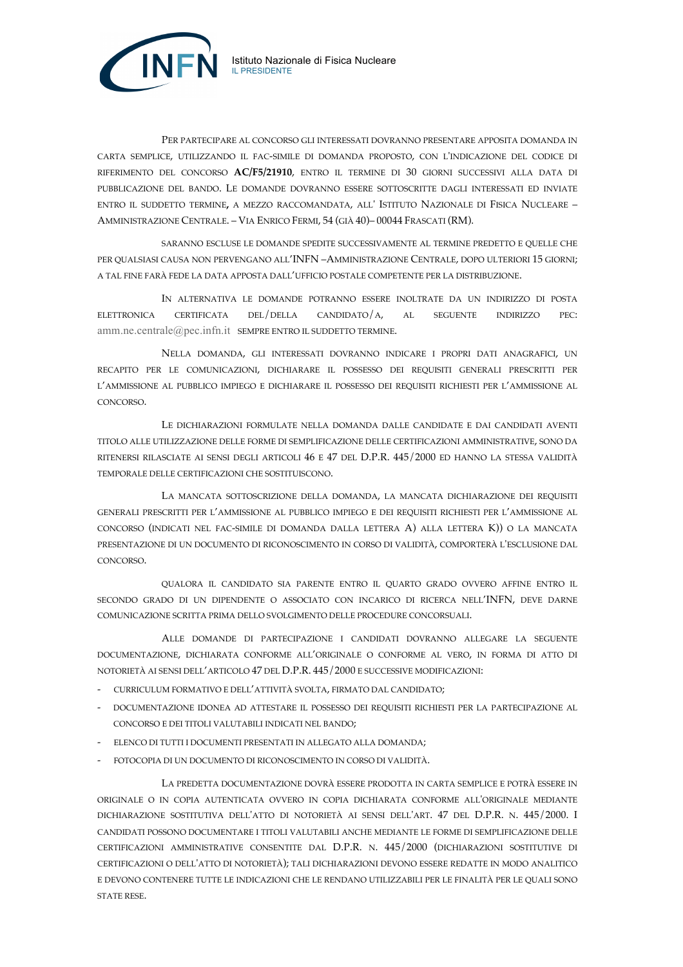

Istituto Nazionale di Fisica Nucleare

IL PRESIDENTE

SARANNO ESCLUSE LE DOMANDE SPEDITE SUCCESSIVAMENTE AL TERMINE PREDETTO E QUELLE CHE PER QUALSIASI CAUSA NON PERVENGANO ALL'INFN –AMMINISTRAZIONE CENTRALE, DOPO ULTERIORI 15 GIORNI; A TAL FINE FARÀ FEDE LA DATA APPOSTA DALL'UFFICIO POSTALE COMPETENTE PER LA DISTRIBUZIONE.

IN ALTERNATIVA LE DOMANDE POTRANNO ESSERE INOLTRATE DA UN INDIRIZZO DI POSTA ELETTRONICA CERTIFICATA DEL/DELLA CANDIDATO/A, AL SEGUENTE INDIRIZZO PEC: amm.ne.centrale@pec.infn.it SEMPRE ENTRO IL SUDDETTO TERMINE.

NELLA DOMANDA, GLI INTERESSATI DOVRANNO INDICARE I PROPRI DATI ANAGRAFICI, UN RECAPITO PER LE COMUNICAZIONI, DICHIARARE IL POSSESSO DEI REQUISITI GENERALI PRESCRITTI PER L'AMMISSIONE AL PUBBLICO IMPIEGO E DICHIARARE IL POSSESSO DEI REQUISITI RICHIESTI PER L'AMMISSIONE AL CONCORSO.

LE DICHIARAZIONI FORMULATE NELLA DOMANDA DALLE CANDIDATE E DAI CANDIDATI AVENTI TITOLO ALLE UTILIZZAZIONE DELLE FORME DI SEMPLIFICAZIONE DELLE CERTIFICAZIONI AMMINISTRATIVE, SONO DA RITENERSI RILASCIATE AI SENSI DEGLI ARTICOLI 46 E 47 DEL D.P.R. 445/2000 ED HANNO LA STESSA VALIDITÀ TEMPORALE DELLE CERTIFICAZIONI CHE SOSTITUISCONO.

LA MANCATA SOTTOSCRIZIONE DELLA DOMANDA, LA MANCATA DICHIARAZIONE DEI REQUISITI GENERALI PRESCRITTI PER L'AMMISSIONE AL PUBBLICO IMPIEGO E DEI REQUISITI RICHIESTI PER L'AMMISSIONE AL CONCORSO (INDICATI NEL FAC-SIMILE DI DOMANDA DALLA LETTERA A) ALLA LETTERA K)) O LA MANCATA PRESENTAZIONE DI UN DOCUMENTO DI RICONOSCIMENTO IN CORSO DI VALIDITÀ, COMPORTERÀ L'ESCLUSIONE DAL CONCORSO.

QUALORA IL CANDIDATO SIA PARENTE ENTRO IL QUARTO GRADO OVVERO AFFINE ENTRO IL SECONDO GRADO DI UN DIPENDENTE O ASSOCIATO CON INCARICO DI RICERCA NELL'INFN, DEVE DARNE COMUNICAZIONE SCRITTA PRIMA DELLO SVOLGIMENTO DELLE PROCEDURE CONCORSUALI.

ALLE DOMANDE DI PARTECIPAZIONE I CANDIDATI DOVRANNO ALLEGARE LA SEGUENTE DOCUMENTAZIONE, DICHIARATA CONFORME ALL'ORIGINALE O CONFORME AL VERO, IN FORMA DI ATTO DI NOTORIETÀ AI SENSI DELL'ARTICOLO 47 DEL D.P.R. 445/2000 E SUCCESSIVE MODIFICAZIONI:

- CURRICULUM FORMATIVO E DELL'ATTIVITÀ SVOLTA, FIRMATO DAL CANDIDATO;
- DOCUMENTAZIONE IDONEA AD ATTESTARE IL POSSESSO DEI REQUISITI RICHIESTI PER LA PARTECIPAZIONE AL CONCORSO E DEI TITOLI VALUTABILI INDICATI NEL BANDO;
- ELENCO DI TUTTI I DOCUMENTI PRESENTATI IN ALLEGATO ALLA DOMANDA;
- FOTOCOPIA DI UN DOCUMENTO DI RICONOSCIMENTO IN CORSO DI VALIDITÀ.

LA PREDETTA DOCUMENTAZIONE DOVRÀ ESSERE PRODOTTA IN CARTA SEMPLICE E POTRÀ ESSERE IN ORIGINALE O IN COPIA AUTENTICATA OVVERO IN COPIA DICHIARATA CONFORME ALL'ORIGINALE MEDIANTE DICHIARAZIONE SOSTITUTIVA DELL'ATTO DI NOTORIETÀ AI SENSI DELL'ART. 47 DEL D.P.R. N. 445/2000. I CANDIDATI POSSONO DOCUMENTARE I TITOLI VALUTABILI ANCHE MEDIANTE LE FORME DI SEMPLIFICAZIONE DELLE CERTIFICAZIONI AMMINISTRATIVE CONSENTITE DAL D.P.R. N. 445/2000 (DICHIARAZIONI SOSTITUTIVE DI CERTIFICAZIONI O DELL'ATTO DI NOTORIETÀ); TALI DICHIARAZIONI DEVONO ESSERE REDATTE IN MODO ANALITICO E DEVONO CONTENERE TUTTE LE INDICAZIONI CHE LE RENDANO UTILIZZABILI PER LE FINALITÀ PER LE QUALI SONO STATE RESE.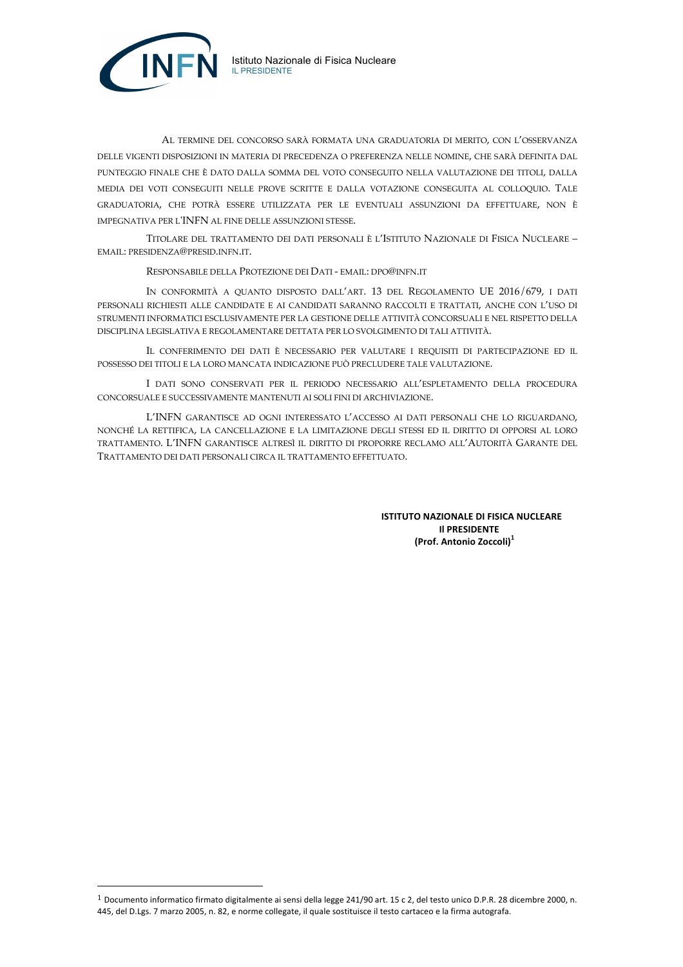



 $\overline{a}$ 

AL TERMINE DEL CONCORSO SARÀ FORMATA UNA GRADUATORIA DI MERITO, CON L'OSSERVANZA DELLE VIGENTI DISPOSIZIONI IN MATERIA DI PRECEDENZA O PREFERENZA NELLE NOMINE, CHE SARÀ DEFINITA DAL PUNTEGGIO FINALE CHE È DATO DALLA SOMMA DEL VOTO CONSEGUITO NELLA VALUTAZIONE DEI TITOLI, DALLA MEDIA DEI VOTI CONSEGUITI NELLE PROVE SCRITTE E DALLA VOTAZIONE CONSEGUITA AL COLLOQUIO. TALE GRADUATORIA, CHE POTRÀ ESSERE UTILIZZATA PER LE EVENTUALI ASSUNZIONI DA EFFETTUARE, NON È IMPEGNATIVA PER L'INFN AL FINE DELLE ASSUNZIONI STESSE.

TITOLARE DEL TRATTAMENTO DEI DATI PERSONALI È L'ISTITUTO NAZIONALE DI FISICA NUCLEARE – EMAIL: PRESIDENZA@PRESID.INFN.IT.

RESPONSABILE DELLA PROTEZIONE DEI DATI - EMAIL: DPO@INFN.IT

IN CONFORMITÀ A QUANTO DISPOSTO DALL'ART. 13 DEL REGOLAMENTO UE 2016/679, I DATI PERSONALI RICHIESTI ALLE CANDIDATE E AI CANDIDATI SARANNO RACCOLTI E TRATTATI, ANCHE CON L'USO DI STRUMENTI INFORMATICI ESCLUSIVAMENTE PER LA GESTIONE DELLE ATTIVITÀ CONCORSUALI E NEL RISPETTO DELLA DISCIPLINA LEGISLATIVA E REGOLAMENTARE DETTATA PER LO SVOLGIMENTO DI TALI ATTIVITÀ.

IL CONFERIMENTO DEI DATI È NECESSARIO PER VALUTARE I REQUISITI DI PARTECIPAZIONE ED IL POSSESSO DEI TITOLI E LA LORO MANCATA INDICAZIONE PUÒ PRECLUDERE TALE VALUTAZIONE.

I DATI SONO CONSERVATI PER IL PERIODO NECESSARIO ALL'ESPLETAMENTO DELLA PROCEDURA CONCORSUALE E SUCCESSIVAMENTE MANTENUTI AI SOLI FINI DI ARCHIVIAZIONE.

L'INFN GARANTISCE AD OGNI INTERESSATO L'ACCESSO AI DATI PERSONALI CHE LO RIGUARDANO, NONCHÉ LA RETTIFICA, LA CANCELLAZIONE E LA LIMITAZIONE DEGLI STESSI ED IL DIRITTO DI OPPORSI AL LORO TRATTAMENTO. L'INFN GARANTISCE ALTRESÌ IL DIRITTO DI PROPORRE RECLAMO ALL'AUTORITÀ GARANTE DEL TRATTAMENTO DEI DATI PERSONALI CIRCA IL TRATTAMENTO EFFETTUATO.

> **ISTITUTO NAZIONALE DI FISICA NUCLEARE Il PRESIDENTE (Prof. Antonio Zoccoli)<sup>1</sup>**

 $1$  Documento informatico firmato digitalmente ai sensi della legge 241/90 art. 15 c 2, del testo unico D.P.R. 28 dicembre 2000, n. 445, del D.Lgs. 7 marzo 2005, n. 82, e norme collegate, il quale sostituisce il testo cartaceo e la firma autografa.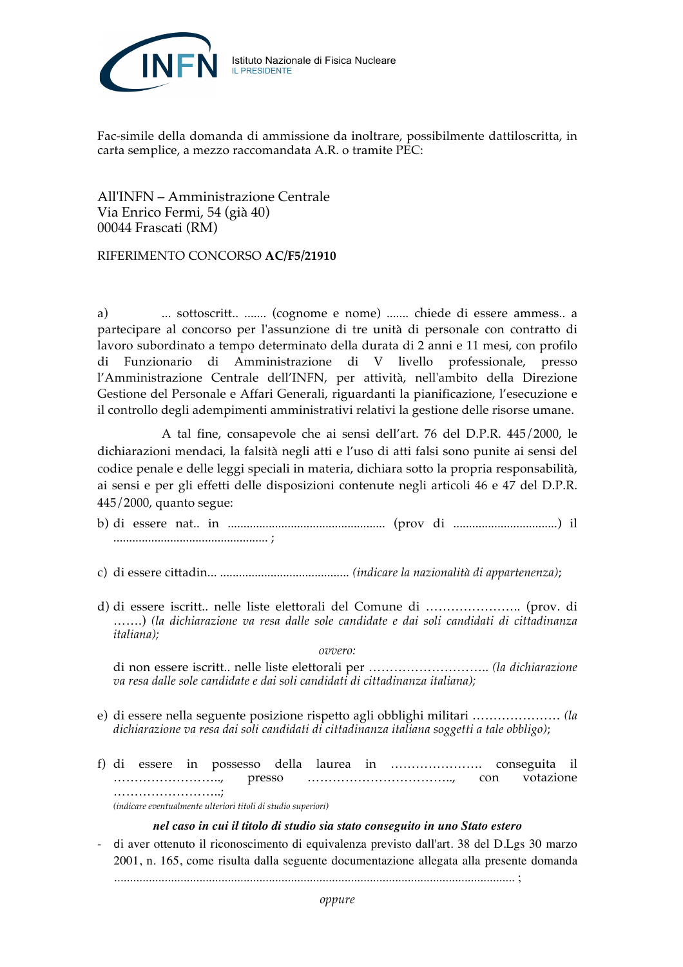

Fac-simile della domanda di ammissione da inoltrare, possibilmente dattiloscritta, in carta semplice, a mezzo raccomandata A.R. o tramite PEC:

All'INFN – Amministrazione Centrale Via Enrico Fermi, 54 (già 40) 00044 Frascati (RM)

# RIFERIMENTO CONCORSO **AC/F5/21910**

a) ... sottoscritt.. ....... (cognome e nome) ....... chiede di essere ammess.. a partecipare al concorso per l'assunzione di tre unità di personale con contratto di lavoro subordinato a tempo determinato della durata di 2 anni e 11 mesi, con profilo di Funzionario di Amministrazione di V livello professionale, presso l'Amministrazione Centrale dell'INFN, per attività, nell'ambito della Direzione Gestione del Personale e Affari Generali, riguardanti la pianificazione, l'esecuzione e il controllo degli adempimenti amministrativi relativi la gestione delle risorse umane.

A tal fine, consapevole che ai sensi dell'art. 76 del D.P.R. 445/2000, le dichiarazioni mendaci, la falsità negli atti e l'uso di atti falsi sono punite ai sensi del codice penale e delle leggi speciali in materia, dichiara sotto la propria responsabilità, ai sensi e per gli effetti delle disposizioni contenute negli articoli 46 e 47 del D.P.R. 445/2000, quanto segue:

- b) di essere nat.. in .................................................. (prov di .................................) il ................................................. ;
- c) di essere cittadin... ......................................... *(indicare la nazionalità di appartenenza)*;
- d) di essere iscritt.. nelle liste elettorali del Comune di ………………….. (prov. di …….) *(la dichiarazione va resa dalle sole candidate e dai soli candidati di cittadinanza italiana);*

*ovvero:*

di non essere iscritt.. nelle liste elettorali per ……………………….. *(la dichiarazione va resa dalle sole candidate e dai soli candidati di cittadinanza italiana);*

- e) di essere nella seguente posizione rispetto agli obblighi militari ………………… *(la dichiarazione va resa dai soli candidati di cittadinanza italiana soggetti a tale obbligo)*;
- f) di essere in possesso della laurea in …………………. conseguita il …………………….., presso …………………………….., con votazione …………………………; *(indicare eventualmente ulteriori titoli di studio superiori)*

*nel caso in cui il titolo di studio sia stato conseguito in uno Stato estero*

- di aver ottenuto il riconoscimento di equivalenza previsto dall'art. 38 del D.Lgs 30 marzo 2001, n. 165, come risulta dalla seguente documentazione allegata alla presente domanda ............................................................................................................................... ;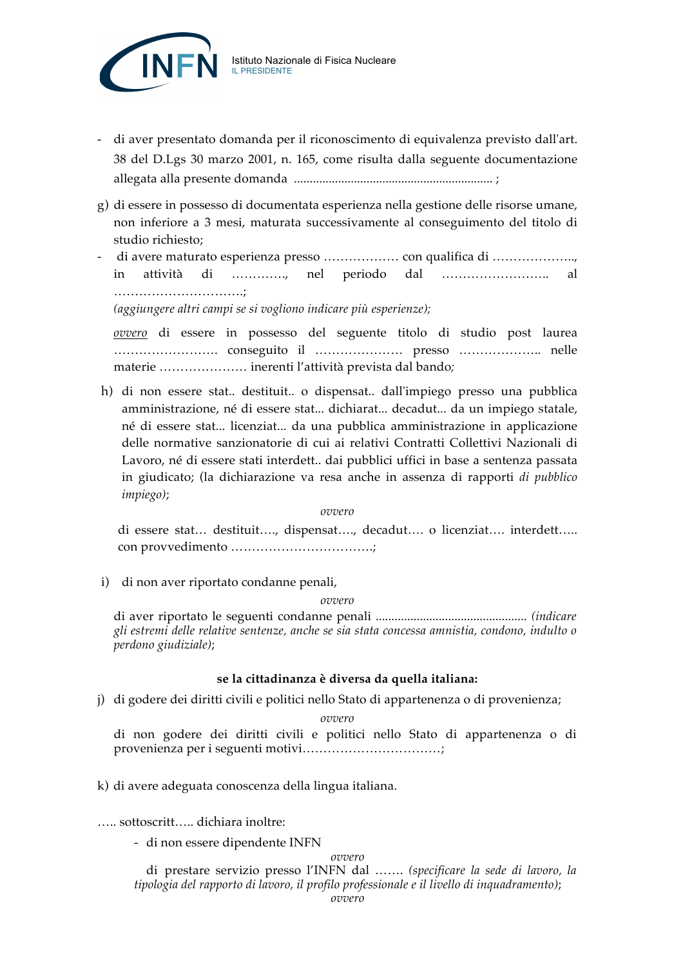

- di aver presentato domanda per il riconoscimento di equivalenza previsto dall'art. 38 del D.Lgs 30 marzo 2001, n. 165, come risulta dalla seguente documentazione allegata alla presente domanda ............................................................... ;
- g) di essere in possesso di documentata esperienza nella gestione delle risorse umane, non inferiore a 3 mesi, maturata successivamente al conseguimento del titolo di studio richiesto;
- di avere maturato esperienza presso ……………… con qualifica di ……………….., in attività di …………., nel periodo dal …………………….. al ………………………….;

*(aggiungere altri campi se si vogliono indicare più esperienze);*

*ovvero* di essere in possesso del seguente titolo di studio post laurea ……………………. conseguito il ………………… presso ……………….. nelle materie ………………… inerenti l'attività prevista dal bando*;*

h) di non essere stat.. destituit.. o dispensat.. dall'impiego presso una pubblica amministrazione, né di essere stat... dichiarat... decadut... da un impiego statale, né di essere stat... licenziat... da una pubblica amministrazione in applicazione delle normative sanzionatorie di cui ai relativi Contratti Collettivi Nazionali di Lavoro, né di essere stati interdett.. dai pubblici uffici in base a sentenza passata in giudicato; (la dichiarazione va resa anche in assenza di rapporti *di pubblico impiego)*;

*ovvero*

di essere stat… destituit…., dispensat…., decadut…. o licenziat…. interdett….. con provvedimento …………………………….;

i) di non aver riportato condanne penali,

#### *ovvero*

di aver riportato le seguenti condanne penali ................................................ *(indicare gli estremi delle relative sentenze, anche se sia stata concessa amnistia, condono, indulto o perdono giudiziale)*;

# **se la cittadinanza è diversa da quella italiana:**

j) di godere dei diritti civili e politici nello Stato di appartenenza o di provenienza;

### *ovvero*

di non godere dei diritti civili e politici nello Stato di appartenenza o di provenienza per i seguenti motivi……………………………;

# k) di avere adeguata conoscenza della lingua italiana.

….. sottoscritt….. dichiara inoltre:

- di non essere dipendente INFN

*ovvero*

di prestare servizio presso l'INFN dal ……. *(specificare la sede di lavoro, la tipologia del rapporto di lavoro, il profilo professionale e il livello di inquadramento)*;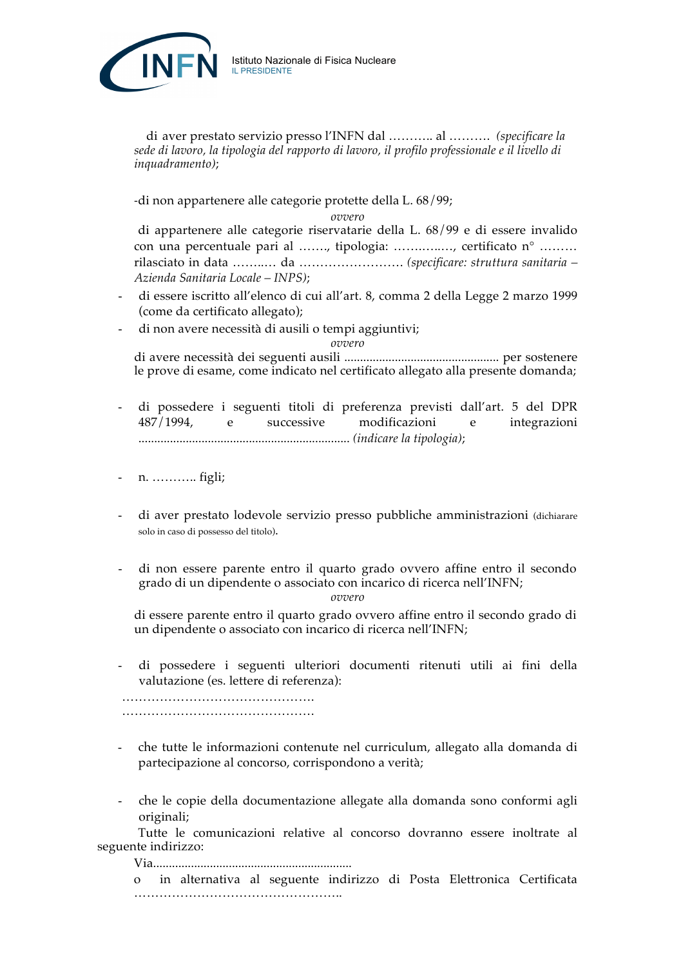

di aver prestato servizio presso l'INFN dal ……….. al ………. *(specificare la sede di lavoro, la tipologia del rapporto di lavoro, il profilo professionale e il livello di inquadramento)*;

-di non appartenere alle categorie protette della L. 68/99;

*ovvero*

di appartenere alle categorie riservatarie della L. 68/99 e di essere invalido con una percentuale pari al ……., tipologia: …….…..…, certificato n° ……… rilasciato in data ……..… da ……………………. *(specificare: struttura sanitaria – Azienda Sanitaria Locale – INPS)*;

- di essere iscritto all'elenco di cui all'art. 8, comma 2 della Legge 2 marzo 1999 (come da certificato allegato);
- di non avere necessità di ausili o tempi aggiuntivi;

*ovvero*

di avere necessità dei seguenti ausili ................................................. per sostenere le prove di esame, come indicato nel certificato allegato alla presente domanda;

- di possedere i seguenti titoli di preferenza previsti dall'art. 5 del DPR 487/1994, e successive modificazioni e integrazioni ................................................................... *(indicare la tipologia)*;
- n. ……….. figli;
- di aver prestato lodevole servizio presso pubbliche amministrazioni (dichiarare solo in caso di possesso del titolo).
- di non essere parente entro il quarto grado ovvero affine entro il secondo grado di un dipendente o associato con incarico di ricerca nell'INFN;

*ovvero*

di essere parente entro il quarto grado ovvero affine entro il secondo grado di un dipendente o associato con incarico di ricerca nell'INFN;

- di possedere i seguenti ulteriori documenti ritenuti utili ai fini della valutazione (es. lettere di referenza):

………………………………………. ……………………………………….

- che tutte le informazioni contenute nel curriculum, allegato alla domanda di partecipazione al concorso, corrispondono a verità;
- che le copie della documentazione allegate alla domanda sono conformi agli originali;

Tutte le comunicazioni relative al concorso dovranno essere inoltrate al seguente indirizzo:

Via...............................................................

o in alternativa al seguente indirizzo di Posta Elettronica Certificata …………………………………………..